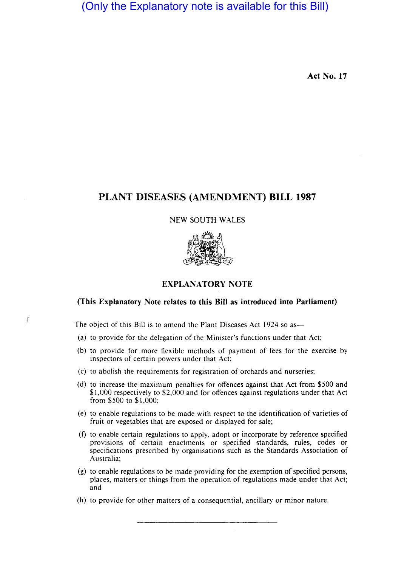(Only the Explanatory note is available for this Bill)

**Act No. 17** 

# **PLANT DISEASES (AMENDMENT) BILL 1987**

### NEW SOUTH WALES



## **EXPLANATORY NOTE**

## **(This Explanatory Note relates to this Bill as introduced into Parliament)**

The object of this Bill is to amend the Plant Diseases Act 1924 so as-

ſ

- (a) to provide for the delegation of the Minister's functions under that Act;
- (b) to provide for more flexible methods of payment of fees for the exercise by inspectors of certain powers under that Act;
- (c) to abolish the requirements for registration of orchards and nurseries;
- (d) to increase the maximum penalties for offences against that Act from \$500 and \$1,000 respectively to \$2,000 and for offences against regulations under that Act from \$500 to \$1,000;
- (e) to enable regulations to be made with respect to the identification of varieties of fruit or vegetables that are exposed or displayed for sale;
- (f) to enable certain regulations to apply, adopt or incorporate by reference specified provisions of certain enactments or specified standards, rules, codes or specifications prescribed by organisations such as the Standards Association of Australia;
- (g) to enable regulations to be made providing for the exemption of specified persons, places, matters or things from the operation of regulations made under that Act; and
- (h) to provide for other matters of a consequential, ancillary or minor nature.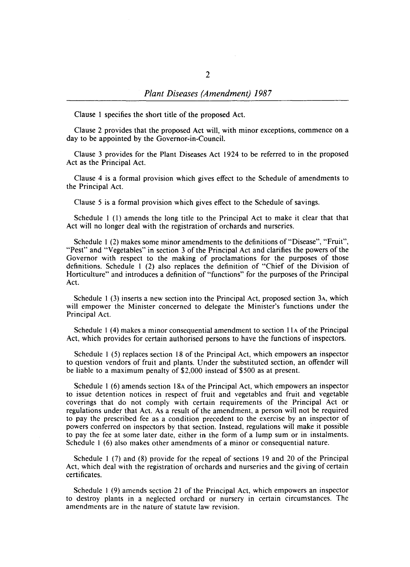Clause 1 specifies the short title of the proposed Act.

Clause 2 provides that the proposed Act will, with minor exceptions, commence on a day to be appointed by the Governor-in-Council.

Clause 3 provides for the Plant Diseases Act 1924 to be referred to in the proposed Act as the Principal Act.

Clause 4 is a formal provision which gives effect to the Schedule of amendments to the Principal Act.

Clause 5 is a formal provision which gives effect to the Schedule of savings.

Schedule I (I) amends the long title to the Principal Act to make it clear that that Act will no longer deal with the registration of orchards and nurseries.

Schedule I (2) makes some minor amendments to the definitions of "Disease", "Fruit", "Pest" and "Vegetables" in section 3 of the Principal Act and clarifies the powers of the Governor with respect to the making of proclamations for the purposes of those definitions. Schedule I (2) also replaces the definition of "Chief of the Division of Horticulture" and introduces a definition of "functions" for the purposes of the Principal Act.

Schedule I (3) inserts a new section into the Principal Act, proposed section 3A, which will empower the Minister concerned to delegate the Minister's functions under the Principal Act.

Schedule I (4) makes a minor consequential amendment to section IIA of the Principal Act, which provides for certain authorised persons to have the functions of inspectors.

Schedule I (5) replaces section 18 of the Principal Act, which empowers an inspector to question vendors of fruit and plants. Under the substituted section, an offender will be liable to a maximum penalty of \$2,000 instead of \$500 as at present.

Schedule I (6) amends section 18A of the Principal Act, which empowers an inspector to issue detention notices in respect of fruit and vegetables and fruit and vegetable coverings that do not comply with certain requirements of the Principal Act or regulations under that Act. As a result of the amendment, a person will not be required to pay the prescribed fee as a condition precedent to the exercise by an inspector of powers conferred on inspectors by that section. Instead, regulations will make it possible to pay the fee at some later date, either in the form of a lump sum or in instalments. Schedule I (6) also makes other amendments of a minor or consequential nature.

Schedule I (7) and (8) provide for the repeal of sections 19 and 20 of the Principal Act, which deal with the registration of orchards and nurseries and the giving of certain certificates.

Schedule I (9) amends section 21 of the Principal Act, which empowers an inspector to destroy plants in a neglected orchard or nursery in certain circumstances. The amendments are in the nature of statute law revision.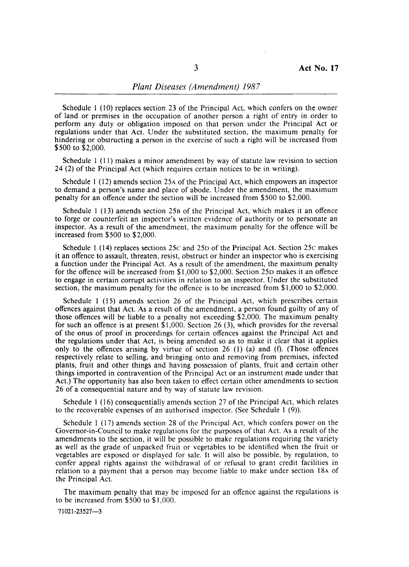#### *Plant Diseases (Amendment) 1987*

Schedule I (10) replaces section 23 of the Principal Act, which confers on the owner of land or premises in the occupation of another person a right of entry in order to perform any duty or obligation imposed on that person under the Principal Act or regulations under that Act. Under the substituted section, the maximum penalty for hindering or obstructing a person in the exercise of such a right will be increased from \$SOO to \$2,000.

Schedule I (11) makes a minor amendment by way of statute law revision to section 24 (2) of the Principal Act (which requires certain notices to be in writing).

Schedule I (12) amends section 2SA of the Principal Act, which empowers an inspector to demand a person's name and place of abode. Under the amendment, the maximum penalty for an offence under the section will be increased from \$SOO to \$2,000.

Schedule 1 (13) amends section 25B of the Principal Act, which makes it an offence to forge or counterfeit an inspector's written evidence of authority or to personate an inspector. As a result of the amendment, the maximum penalty for the offence will be increased from \$SOO to \$2,000.

Schedule I (14) replaces sections 2Sc and 2So of the Principal Act. Section 2Sc makes it an offence to assault, threaten, resist, obstruct or hinder an inspector who is exercising a function under the Principal Act. As a result of the amendment, the maximum penalty for the offence will be increased from \$1,000 to \$2,000. Section 2So makes it an offence to engage in certain corrupt activities in relation to an inspector. Under the substituted section, the maximum penalty for the offence is to be increased from \$1,000 to \$2,000.

Schedule 1 (15) amends section 26 of the Principal Act, which prescribes certain offences against that Act. As a result of the amendment, a person found guilty of any of those offences will be liable to a penalty not exceeding \$2,000. The maximum penalty for such an offence is at present  $$1,000$ . Section 26 (3), which provides for the reversal of the onus of proof in proceedings for certain offences against the Principal Act and the regulations under that Act, is being amended so as to make it clear that it applies only to the offences arising by virtue of section 26 (1) (a) and (f). (Those offences respectively relate to selling, and bringing onto and removing from premises, infected plants, fruit and other things and having possession of plants, fruit and certain other things imported in contravention of the Principal Act or an instrument made under that Act.) The opportunity has also been taken to effect certain other amendments to section 26 of a consequential nature and by way of statute law revision.

Schedule I (16) consequentially amends section 27 of the Principal Act, which relates to the recoverable expenses of an authorised inspector. (See Schedule 1 (9».

Schedule I (17) amends section 28 of the Principal Act, which confers power on the Governor-in-Council to make regulations for the purposes of that Act. As a result of the amendments to the section, it will be possible to make regulations requiring the variety as well as the grade of unpacked fruit or vegetables to be identified when the fruit or vegetables are exposed or displayed for sale. It will also be possible, by regulation, to confer appeal rights against the withdrawal of or refusal to grant credit facilities in relation to a payment that a person may become liable to make under section 18A of the Principal Act.

The maximum penalty that may be imposed for an offence against the regulations is to be increased from \$SOO to \$1,000.

71021-23527-3